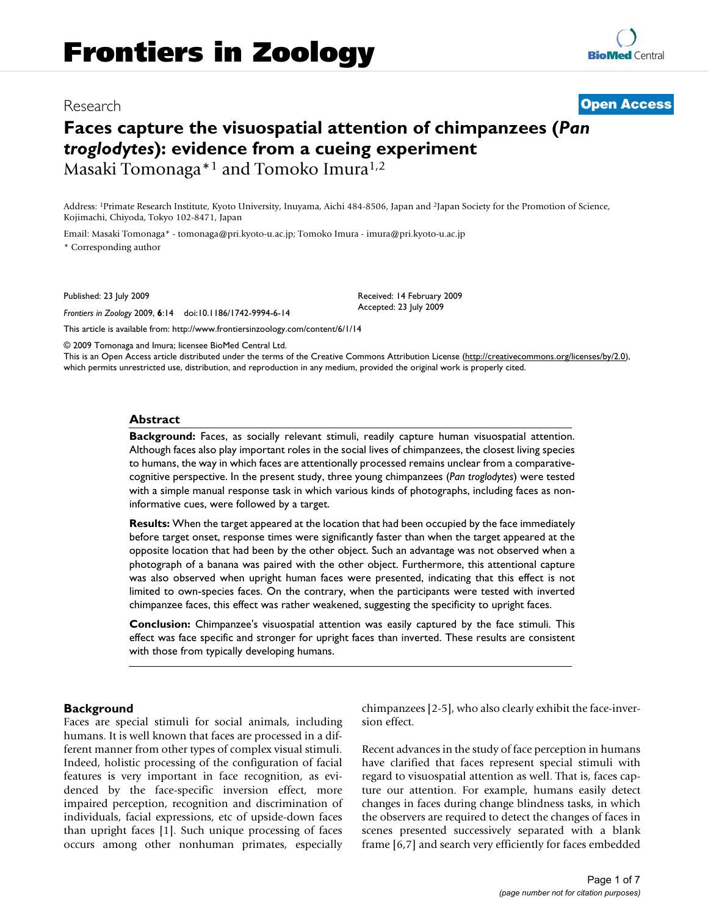# Research **[Open Access](http://www.biomedcentral.com/info/about/charter/)**

# **Faces capture the visuospatial attention of chimpanzees (***Pan troglodytes***): evidence from a cueing experiment** Masaki Tomonaga<sup>\*1</sup> and Tomoko Imura<sup>1,2</sup>

Address: 1Primate Research Institute, Kyoto University, Inuyama, Aichi 484-8506, Japan and 2Japan Society for the Promotion of Science, Kojimachi, Chiyoda, Tokyo 102-8471, Japan

Email: Masaki Tomonaga\* - tomonaga@pri.kyoto-u.ac.jp; Tomoko Imura - imura@pri.kyoto-u.ac.jp \* Corresponding author

Published: 23 July 2009

*Frontiers in Zoology* 2009, **6**:14 doi:10.1186/1742-9994-6-14

[This article is available from: http://www.frontiersinzoology.com/content/6/1/14](http://www.frontiersinzoology.com/content/6/1/14)

© 2009 Tomonaga and Imura; licensee BioMed Central Ltd.

This is an Open Access article distributed under the terms of the Creative Commons Attribution License [\(http://creativecommons.org/licenses/by/2.0\)](http://creativecommons.org/licenses/by/2.0), which permits unrestricted use, distribution, and reproduction in any medium, provided the original work is properly cited.

Received: 14 February 2009 Accepted: 23 July 2009

#### **Abstract**

**Background:** Faces, as socially relevant stimuli, readily capture human visuospatial attention. Although faces also play important roles in the social lives of chimpanzees, the closest living species to humans, the way in which faces are attentionally processed remains unclear from a comparativecognitive perspective. In the present study, three young chimpanzees (*Pan troglodytes*) were tested with a simple manual response task in which various kinds of photographs, including faces as noninformative cues, were followed by a target.

**Results:** When the target appeared at the location that had been occupied by the face immediately before target onset, response times were significantly faster than when the target appeared at the opposite location that had been by the other object. Such an advantage was not observed when a photograph of a banana was paired with the other object. Furthermore, this attentional capture was also observed when upright human faces were presented, indicating that this effect is not limited to own-species faces. On the contrary, when the participants were tested with inverted chimpanzee faces, this effect was rather weakened, suggesting the specificity to upright faces.

**Conclusion:** Chimpanzee's visuospatial attention was easily captured by the face stimuli. This effect was face specific and stronger for upright faces than inverted. These results are consistent with those from typically developing humans.

#### **Background**

Faces are special stimuli for social animals, including humans. It is well known that faces are processed in a different manner from other types of complex visual stimuli. Indeed, holistic processing of the configuration of facial features is very important in face recognition, as evidenced by the face-specific inversion effect, more impaired perception, recognition and discrimination of individuals, facial expressions, etc of upside-down faces than upright faces [1]. Such unique processing of faces occurs among other nonhuman primates, especially chimpanzees [2-5], who also clearly exhibit the face-inversion effect.

Recent advances in the study of face perception in humans have clarified that faces represent special stimuli with regard to visuospatial attention as well. That is, faces capture our attention. For example, humans easily detect changes in faces during change blindness tasks, in which the observers are required to detect the changes of faces in scenes presented successively separated with a blank frame [6,7] and search very efficiently for faces embedded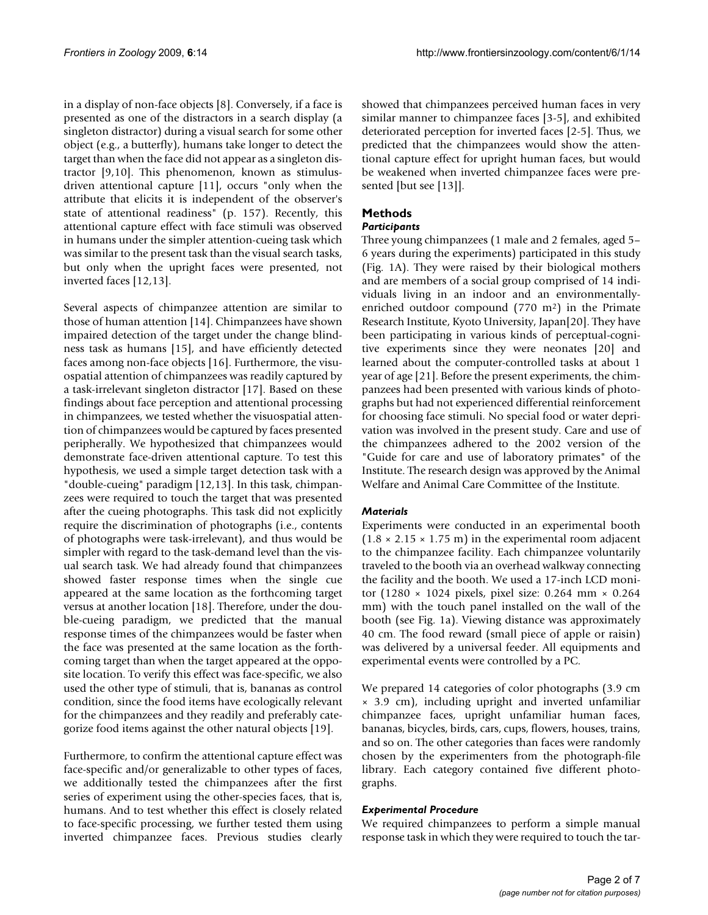in a display of non-face objects [8]. Conversely, if a face is presented as one of the distractors in a search display (a singleton distractor) during a visual search for some other object (e.g., a butterfly), humans take longer to detect the target than when the face did not appear as a singleton distractor [9,10]. This phenomenon, known as stimulusdriven attentional capture [11], occurs "only when the attribute that elicits it is independent of the observer's state of attentional readiness" (p. 157). Recently, this attentional capture effect with face stimuli was observed in humans under the simpler attention-cueing task which was similar to the present task than the visual search tasks, but only when the upright faces were presented, not inverted faces [12,13].

Several aspects of chimpanzee attention are similar to those of human attention [14]. Chimpanzees have shown impaired detection of the target under the change blindness task as humans [15], and have efficiently detected faces among non-face objects [16]. Furthermore, the visuospatial attention of chimpanzees was readily captured by a task-irrelevant singleton distractor [17]. Based on these findings about face perception and attentional processing in chimpanzees, we tested whether the visuospatial attention of chimpanzees would be captured by faces presented peripherally. We hypothesized that chimpanzees would demonstrate face-driven attentional capture. To test this hypothesis, we used a simple target detection task with a "double-cueing" paradigm [12,13]. In this task, chimpanzees were required to touch the target that was presented after the cueing photographs. This task did not explicitly require the discrimination of photographs (i.e., contents of photographs were task-irrelevant), and thus would be simpler with regard to the task-demand level than the visual search task. We had already found that chimpanzees showed faster response times when the single cue appeared at the same location as the forthcoming target versus at another location [18]. Therefore, under the double-cueing paradigm, we predicted that the manual response times of the chimpanzees would be faster when the face was presented at the same location as the forthcoming target than when the target appeared at the opposite location. To verify this effect was face-specific, we also used the other type of stimuli, that is, bananas as control condition, since the food items have ecologically relevant for the chimpanzees and they readily and preferably categorize food items against the other natural objects [19].

Furthermore, to confirm the attentional capture effect was face-specific and/or generalizable to other types of faces, we additionally tested the chimpanzees after the first series of experiment using the other-species faces, that is, humans. And to test whether this effect is closely related to face-specific processing, we further tested them using inverted chimpanzee faces. Previous studies clearly showed that chimpanzees perceived human faces in very similar manner to chimpanzee faces [3-5], and exhibited deteriorated perception for inverted faces [2-5]. Thus, we predicted that the chimpanzees would show the attentional capture effect for upright human faces, but would be weakened when inverted chimpanzee faces were presented [but see [13]].

# **Methods**

# *Participants*

Three young chimpanzees (1 male and 2 females, aged 5– 6 years during the experiments) participated in this study (Fig. 1A). They were raised by their biological mothers and are members of a social group comprised of 14 individuals living in an indoor and an environmentallyenriched outdoor compound (770 m2) in the Primate Research Institute, Kyoto University, Japan[20]. They have been participating in various kinds of perceptual-cognitive experiments since they were neonates [20] and learned about the computer-controlled tasks at about 1 year of age [21]. Before the present experiments, the chimpanzees had been presented with various kinds of photographs but had not experienced differential reinforcement for choosing face stimuli. No special food or water deprivation was involved in the present study. Care and use of the chimpanzees adhered to the 2002 version of the "Guide for care and use of laboratory primates" of the Institute. The research design was approved by the Animal Welfare and Animal Care Committee of the Institute.

# *Materials*

Experiments were conducted in an experimental booth  $(1.8 \times 2.15 \times 1.75 \text{ m})$  in the experimental room adjacent to the chimpanzee facility. Each chimpanzee voluntarily traveled to the booth via an overhead walkway connecting the facility and the booth. We used a 17-inch LCD monitor (1280  $\times$  1024 pixels, pixel size: 0.264 mm  $\times$  0.264 mm) with the touch panel installed on the wall of the booth (see Fig. 1a). Viewing distance was approximately 40 cm. The food reward (small piece of apple or raisin) was delivered by a universal feeder. All equipments and experimental events were controlled by a PC.

We prepared 14 categories of color photographs (3.9 cm × 3.9 cm), including upright and inverted unfamiliar chimpanzee faces, upright unfamiliar human faces, bananas, bicycles, birds, cars, cups, flowers, houses, trains, and so on. The other categories than faces were randomly chosen by the experimenters from the photograph-file library. Each category contained five different photographs.

# *Experimental Procedure*

We required chimpanzees to perform a simple manual response task in which they were required to touch the tar-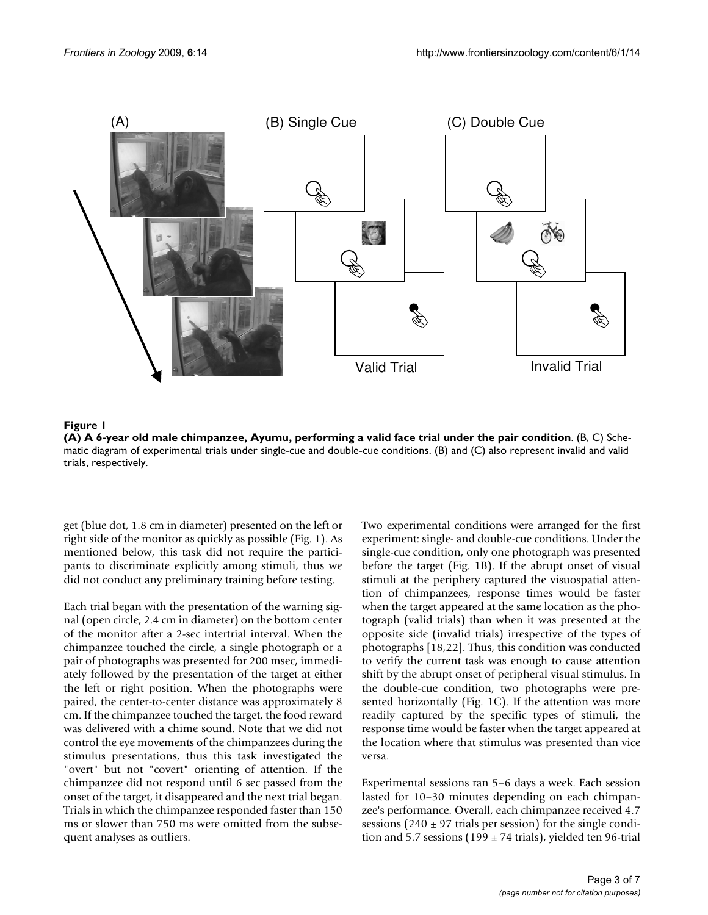

**Figure 1** (A) A 6-year old male chimpanzee, Ayumu, performing a valid face trial under the pair condition **(A) A 6-year old male chimpanzee, Ayumu, performing a valid face trial under the pair condition**. (B, C) Schematic diagram of experimental trials under single-cue and double-cue conditions. (B) and (C) also represent invalid and valid trials, respectively.

get (blue dot, 1.8 cm in diameter) presented on the left or right side of the monitor as quickly as possible (Fig. 1). As mentioned below, this task did not require the participants to discriminate explicitly among stimuli, thus we did not conduct any preliminary training before testing.

Each trial began with the presentation of the warning signal (open circle, 2.4 cm in diameter) on the bottom center of the monitor after a 2-sec intertrial interval. When the chimpanzee touched the circle, a single photograph or a pair of photographs was presented for 200 msec, immediately followed by the presentation of the target at either the left or right position. When the photographs were paired, the center-to-center distance was approximately 8 cm. If the chimpanzee touched the target, the food reward was delivered with a chime sound. Note that we did not control the eye movements of the chimpanzees during the stimulus presentations, thus this task investigated the "overt" but not "covert" orienting of attention. If the chimpanzee did not respond until 6 sec passed from the onset of the target, it disappeared and the next trial began. Trials in which the chimpanzee responded faster than 150 ms or slower than 750 ms were omitted from the subsequent analyses as outliers.

Two experimental conditions were arranged for the first experiment: single- and double-cue conditions. Under the single-cue condition, only one photograph was presented before the target (Fig. 1B). If the abrupt onset of visual stimuli at the periphery captured the visuospatial attention of chimpanzees, response times would be faster when the target appeared at the same location as the photograph (valid trials) than when it was presented at the opposite side (invalid trials) irrespective of the types of photographs [18,22]. Thus, this condition was conducted to verify the current task was enough to cause attention shift by the abrupt onset of peripheral visual stimulus. In the double-cue condition, two photographs were presented horizontally (Fig. 1C). If the attention was more readily captured by the specific types of stimuli, the response time would be faster when the target appeared at the location where that stimulus was presented than vice versa.

Experimental sessions ran 5–6 days a week. Each session lasted for 10–30 minutes depending on each chimpanzee's performance. Overall, each chimpanzee received 4.7 sessions (240  $\pm$  97 trials per session) for the single condition and 5.7 sessions (199  $\pm$  74 trials), yielded ten 96-trial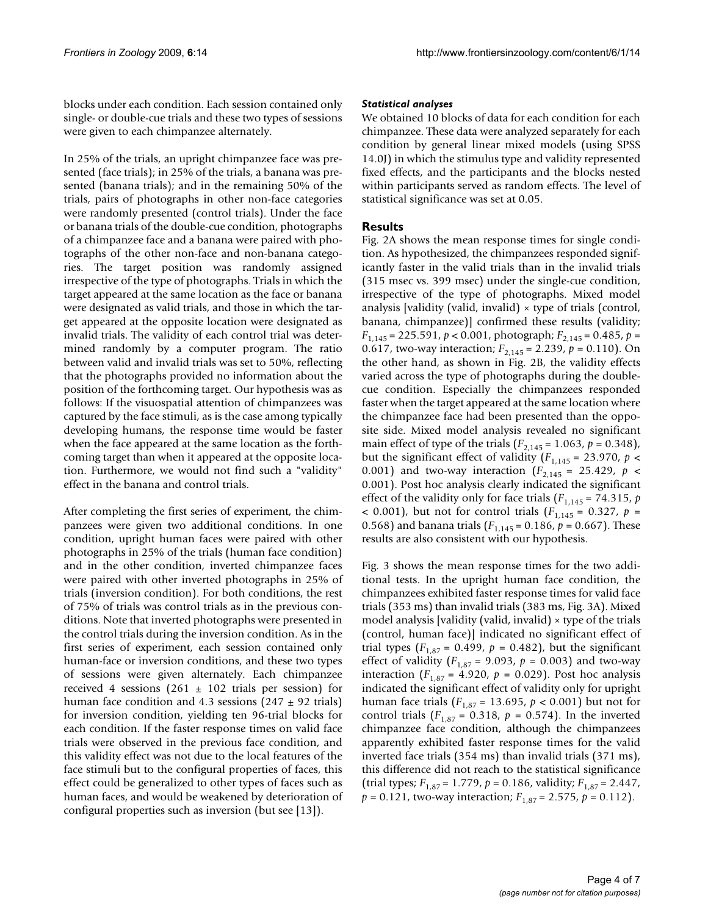blocks under each condition. Each session contained only single- or double-cue trials and these two types of sessions were given to each chimpanzee alternately.

In 25% of the trials, an upright chimpanzee face was presented (face trials); in 25% of the trials, a banana was presented (banana trials); and in the remaining 50% of the trials, pairs of photographs in other non-face categories were randomly presented (control trials). Under the face or banana trials of the double-cue condition, photographs of a chimpanzee face and a banana were paired with photographs of the other non-face and non-banana categories. The target position was randomly assigned irrespective of the type of photographs. Trials in which the target appeared at the same location as the face or banana were designated as valid trials, and those in which the target appeared at the opposite location were designated as invalid trials. The validity of each control trial was determined randomly by a computer program. The ratio between valid and invalid trials was set to 50%, reflecting that the photographs provided no information about the position of the forthcoming target. Our hypothesis was as follows: If the visuospatial attention of chimpanzees was captured by the face stimuli, as is the case among typically developing humans, the response time would be faster when the face appeared at the same location as the forthcoming target than when it appeared at the opposite location. Furthermore, we would not find such a "validity" effect in the banana and control trials.

After completing the first series of experiment, the chimpanzees were given two additional conditions. In one condition, upright human faces were paired with other photographs in 25% of the trials (human face condition) and in the other condition, inverted chimpanzee faces were paired with other inverted photographs in 25% of trials (inversion condition). For both conditions, the rest of 75% of trials was control trials as in the previous conditions. Note that inverted photographs were presented in the control trials during the inversion condition. As in the first series of experiment, each session contained only human-face or inversion conditions, and these two types of sessions were given alternately. Each chimpanzee received 4 sessions (261  $\pm$  102 trials per session) for human face condition and 4.3 sessions (247  $\pm$  92 trials) for inversion condition, yielding ten 96-trial blocks for each condition. If the faster response times on valid face trials were observed in the previous face condition, and this validity effect was not due to the local features of the face stimuli but to the configural properties of faces, this effect could be generalized to other types of faces such as human faces, and would be weakened by deterioration of configural properties such as inversion (but see [13]).

### *Statistical analyses*

We obtained 10 blocks of data for each condition for each chimpanzee. These data were analyzed separately for each condition by general linear mixed models (using SPSS 14.0J) in which the stimulus type and validity represented fixed effects, and the participants and the blocks nested within participants served as random effects. The level of statistical significance was set at 0.05.

# **Results**

Fig. 2A shows the mean response times for single condition. As hypothesized, the chimpanzees responded significantly faster in the valid trials than in the invalid trials (315 msec vs. 399 msec) under the single-cue condition, irrespective of the type of photographs. Mixed model analysis [validity (valid, invalid) × type of trials (control, banana, chimpanzee)] confirmed these results (validity;  $F_{1,145}$  = 225.591,  $p < 0.001$ , photograph;  $F_{2,145}$  = 0.485,  $p =$ 0.617, two-way interaction;  $F_{2,145} = 2.239$ ,  $p = 0.110$ ). On the other hand, as shown in Fig. 2B, the validity effects varied across the type of photographs during the doublecue condition. Especially the chimpanzees responded faster when the target appeared at the same location where the chimpanzee face had been presented than the opposite side. Mixed model analysis revealed no significant main effect of type of the trials ( $F_{2,145}$  = 1.063,  $p = 0.348$ ), but the significant effect of validity  $(F_{1,145} = 23.970, p <$ 0.001) and two-way interaction ( $F_{2,145}$  = 25.429,  $p \lt \theta$ 0.001). Post hoc analysis clearly indicated the significant effect of the validity only for face trials  $(F_{1,145} = 74.315, p$  $(6.001)$ , but not for control trials ( $F_{1,145} = 0.327$ ,  $p =$ 0.568) and banana trials ( $F_{1,145}$  = 0.186,  $p$  = 0.667). These results are also consistent with our hypothesis.

Fig. 3 shows the mean response times for the two additional tests. In the upright human face condition, the chimpanzees exhibited faster response times for valid face trials (353 ms) than invalid trials (383 ms, Fig. 3A). Mixed model analysis [validity (valid, invalid)  $\times$  type of the trials (control, human face)] indicated no significant effect of trial types  $(F_{1,87} = 0.499, p = 0.482)$ , but the significant effect of validity ( $F_{1,87}$  = 9.093,  $p = 0.003$ ) and two-way interaction ( $F_{1,87} = 4.920$ ,  $p = 0.029$ ). Post hoc analysis indicated the significant effect of validity only for upright human face trials  $(F_{1,87} = 13.695, p < 0.001)$  but not for control trials  $(F_{1,87} = 0.318, p = 0.574)$ . In the inverted chimpanzee face condition, although the chimpanzees apparently exhibited faster response times for the valid inverted face trials (354 ms) than invalid trials (371 ms), this difference did not reach to the statistical significance (trial types;  $F_{1,87} = 1.779$ ,  $p = 0.186$ , validity;  $F_{1,87} = 2.447$ ,  $p = 0.121$ , two-way interaction;  $F_{1.87} = 2.575$ ,  $p = 0.112$ ).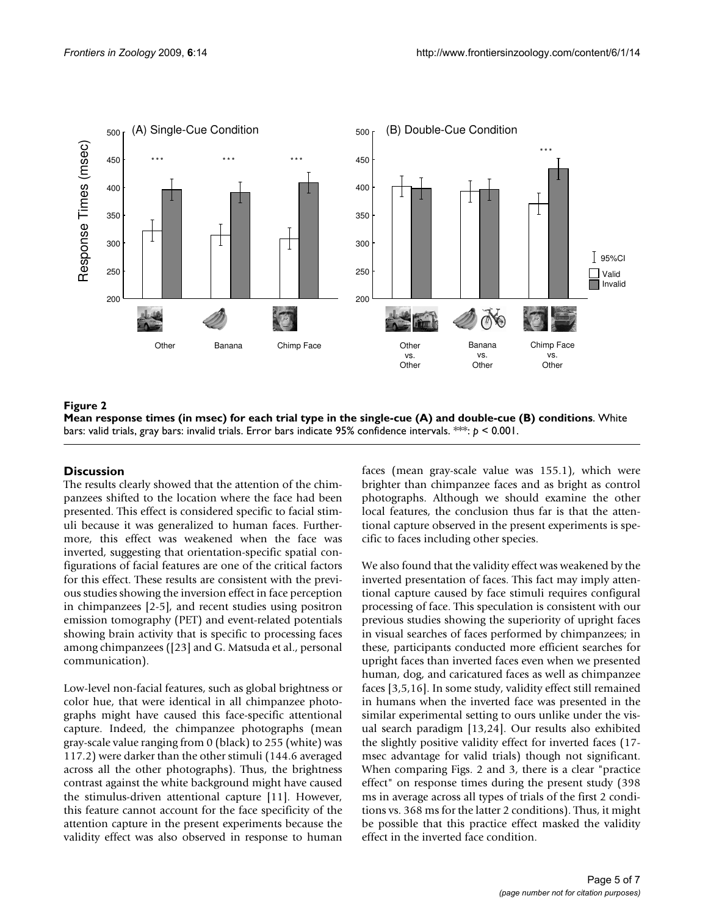

# Mean response times (in msec) for each trial type **Figure 2** in the single-cue (A) and double-cue (B) conditions

**Mean response times (in msec) for each trial type in the single-cue (A) and double-cue (B) conditions**. White bars: valid trials, gray bars: invalid trials. Error bars indicate 95% confidence intervals. \*\*\*: *p* < 0.001.

# **Discussion**

The results clearly showed that the attention of the chimpanzees shifted to the location where the face had been presented. This effect is considered specific to facial stimuli because it was generalized to human faces. Furthermore, this effect was weakened when the face was inverted, suggesting that orientation-specific spatial configurations of facial features are one of the critical factors for this effect. These results are consistent with the previous studies showing the inversion effect in face perception in chimpanzees [2-5], and recent studies using positron emission tomography (PET) and event-related potentials showing brain activity that is specific to processing faces among chimpanzees ([23] and G. Matsuda et al., personal communication).

Low-level non-facial features, such as global brightness or color hue, that were identical in all chimpanzee photographs might have caused this face-specific attentional capture. Indeed, the chimpanzee photographs (mean gray-scale value ranging from 0 (black) to 255 (white) was 117.2) were darker than the other stimuli (144.6 averaged across all the other photographs). Thus, the brightness contrast against the white background might have caused the stimulus-driven attentional capture [11]. However, this feature cannot account for the face specificity of the attention capture in the present experiments because the validity effect was also observed in response to human

faces (mean gray-scale value was 155.1), which were brighter than chimpanzee faces and as bright as control photographs. Although we should examine the other local features, the conclusion thus far is that the attentional capture observed in the present experiments is specific to faces including other species.

We also found that the validity effect was weakened by the inverted presentation of faces. This fact may imply attentional capture caused by face stimuli requires configural processing of face. This speculation is consistent with our previous studies showing the superiority of upright faces in visual searches of faces performed by chimpanzees; in these, participants conducted more efficient searches for upright faces than inverted faces even when we presented human, dog, and caricatured faces as well as chimpanzee faces [3,5,16]. In some study, validity effect still remained in humans when the inverted face was presented in the similar experimental setting to ours unlike under the visual search paradigm [13,24]. Our results also exhibited the slightly positive validity effect for inverted faces (17 msec advantage for valid trials) though not significant. When comparing Figs. 2 and 3, there is a clear "practice effect" on response times during the present study (398 ms in average across all types of trials of the first 2 conditions vs. 368 ms for the latter 2 conditions). Thus, it might be possible that this practice effect masked the validity effect in the inverted face condition.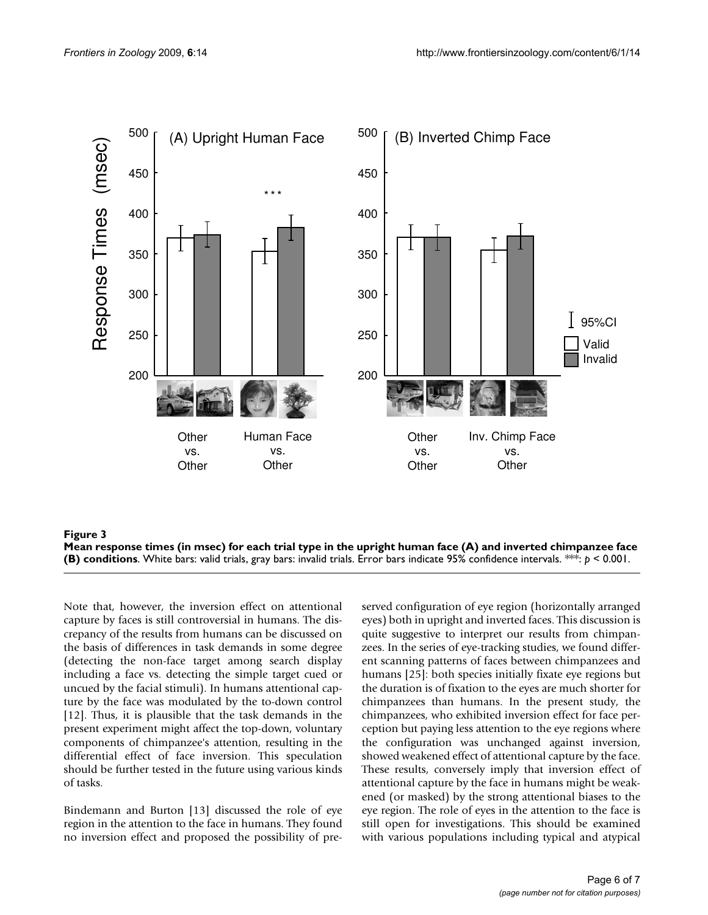

### Mean response times (in msec) for each trial type in the upri **Figure 3** ght human face (A) and inverted chimpanzee face (B) conditions **Mean response times (in msec) for each trial type in the upright human face (A) and inverted chimpanzee face (B) conditions**. White bars: valid trials, gray bars: invalid trials. Error bars indicate 95% confidence intervals. \*\*\*: *p* < 0.001.

Note that, however, the inversion effect on attentional capture by faces is still controversial in humans. The discrepancy of the results from humans can be discussed on the basis of differences in task demands in some degree (detecting the non-face target among search display including a face vs. detecting the simple target cued or uncued by the facial stimuli). In humans attentional capture by the face was modulated by the to-down control [12]. Thus, it is plausible that the task demands in the present experiment might affect the top-down, voluntary components of chimpanzee's attention, resulting in the differential effect of face inversion. This speculation should be further tested in the future using various kinds of tasks.

Bindemann and Burton [13] discussed the role of eye region in the attention to the face in humans. They found no inversion effect and proposed the possibility of preserved configuration of eye region (horizontally arranged eyes) both in upright and inverted faces. This discussion is quite suggestive to interpret our results from chimpanzees. In the series of eye-tracking studies, we found different scanning patterns of faces between chimpanzees and humans [25]: both species initially fixate eye regions but the duration is of fixation to the eyes are much shorter for chimpanzees than humans. In the present study, the chimpanzees, who exhibited inversion effect for face perception but paying less attention to the eye regions where the configuration was unchanged against inversion, showed weakened effect of attentional capture by the face. These results, conversely imply that inversion effect of attentional capture by the face in humans might be weakened (or masked) by the strong attentional biases to the eye region. The role of eyes in the attention to the face is still open for investigations. This should be examined with various populations including typical and atypical